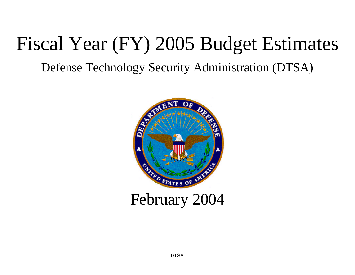# Fiscal Year (FY) 2005 Budget Estimates

Defense Technology Security Administration (DTSA)

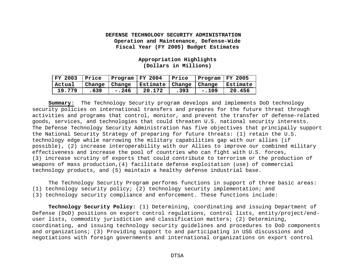**Appropriation Highlights (Dollars in Millions)**

| FY 2003   Price |      | $ $ Program $ $ FY 2004 |                                                         | Price | $ $ Program $ $ FY 2005 |        |
|-----------------|------|-------------------------|---------------------------------------------------------|-------|-------------------------|--------|
| Actual          |      |                         | Change   Change   Estimate   Change   Change   Estimate |       |                         |        |
| 19.779          | .639 | $-.246$                 | 20.172                                                  | .393  | $-.109$                 | 20.456 |

**Summary**: The Technology Security program develops and implements DoD technology security policies on international transfers and prepares for the future threat through activities and programs that control, monitor, and prevent the transfer of defense-related goods, services, and technologies that could threaten U.S. national security interests. The Defense Technology Security Administration has five objectives that principally support the National Security Strategy of preparing for future threats: (1) retain the U.S. technology edge while narrowing the military capabilities gap with our allies (if possible), (2) increase interoperability with our Allies to improve our combined military effectiveness and increase the pool of countries who can fight with U.S. forces, (3) increase scrutiny of exports that could contribute to terrorism or the production of weapons of mass production,(4) facilitate defense exploitation (use) of commercial technology products, and (5) maintain a healthy defense industrial base.

The Technology Security Program performs functions in support of three basic areas: (1) technology security policy; (2) technology security implementation; and

(3) technology security compliance and enforcement. These functions include:

**Technology Security Policy:** (1) Determining, coordinating and issuing Department of Defense (DoD) positions on export control regulations, control lists, entity/project/enduser lists, commodity jurisdiction and classification matters; (2) Determining, coordinating, and issuing technology security guidelines and procedures to DoD components and organizations; (3) Providing support to and participating in USG discussions and negotiations with foreign governments and international organizations on export control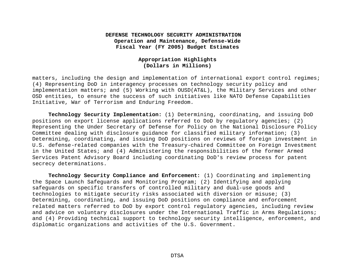# **Appropriation Highlights (Dollars in Millions)**

matters, including the design and implementation of international export control regimes; (4) Representing DoD in interagency processes on technology security policy and implementation matters; and (5) Working with OUSD(AT&L), the Military Services and other OSD entities, to ensure the success of such initiatives like NATO Defense Capabilities Initiative, War of Terrorism and Enduring Freedom.

**Technology Security Implementation:** (1) Determining, coordinating, and issuing DoD positions on export license applications referred to DoD by regulatory agencies; (2) Representing the Under Secretary of Defense for Policy on the National Disclosure Policy Committee dealing with disclosure guidance for classified military information; (3) Determining, coordinating, and issuing DoD positions on reviews of foreign investment in U.S. defense-related companies with the Treasury-chaired Committee on Foreign Investment in the United States; and (4) Administering the responsibilities of the former Armed Services Patent Advisory Board including coordinating DoD's review process for patent secrecy determinations.

**Technology Security Compliance and Enforcement:** (1) Coordinating and implementing the Space Launch Safeguards and Monitoring Program; (2) Identifying and applying safeguards on specific transfers of controlled military and dual-use goods and technologies to mitigate security risks associated with diversion or misuse; (3) Determining, coordinating, and issuing DoD positions on compliance and enforcement related matters referred to DoD by export control regulatory agencies, including review and advice on voluntary disclosures under the International Traffic in Arms Regulations; and (4) Providing technical support to technology security intelligence, enforcement, and diplomatic organizations and activities of the U.S. Government.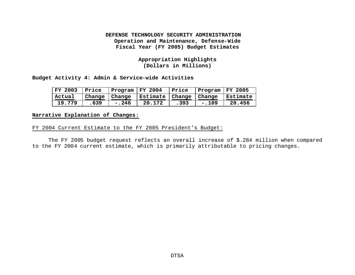# **Appropriation Highlights (Dollars in Millions)**

**Budget Activity 4: Admin & Service-wide Activities**

| FY 2003 | Price           | $ $ Program $ $ FY 2004 |                                       | Price | $ $ Program $ $ FY 2005 |        |
|---------|-----------------|-------------------------|---------------------------------------|-------|-------------------------|--------|
| Actual  | Change   Change |                         | Estimate   Change   Change   Estimate |       |                         |        |
| 19.779  | .639            | $-.246$                 | 20.172                                | .393  | $-.109$                 | 20.456 |

#### **Narrative Explanation of Changes**:

# FY 2004 Current Estimate to the FY 2005 President's Budget:

The FY 2005 budget request reflects an overall increase of \$.284 million when compared to the FY 2004 current estimate, which is primarily attributable to pricing changes.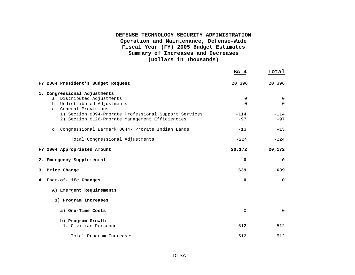# **DEFENSE TECHNOLOGY SECURITY ADMINISTRATION Operation and Maintenance, Defense-Wide Fiscal Year (FY) 2005 Budget Estimates Summary of Increases and Decreases (Dollars in Thousands)**

|                                                       | BA 4     | Total  |
|-------------------------------------------------------|----------|--------|
| FY 2004 President's Budget Request                    | 20,396   | 20,396 |
| 1. Congressional Adjustments                          |          |        |
| a. Distributed Adjustments                            | 0        | 0      |
| b. Undistributed Adjustments                          | $\Omega$ | 0      |
| c. General Provisions                                 |          |        |
| 1) Section 8094-Prorate Professional Support Services | $-114$   | $-114$ |
| 2) Section 8126-Prorate Management Efficiencies       | $-97$    | $-97$  |
| d. Congressional Earmark 8044- Prorate Indian Lands   | $-13$    | $-13$  |
| Total Congressional Adjustments                       | $-224$   | $-224$ |
| FY 2004 Appropriated Amount                           | 20,172   | 20,172 |
| 2. Emergency Supplemental                             | 0        | 0      |
| 3. Price Change                                       | 639      | 639    |
| 4. Fact-of-Life Changes                               | $\Omega$ | 0      |
| A) Emergent Requirements:                             |          |        |
| 1) Program Increases                                  |          |        |
| a) One-Time Costs                                     | 0        | 0      |
| b) Program Growth                                     |          |        |
| 1. Civilian Personnel                                 | 512      | 512    |
|                                                       |          |        |
| Total Program Increases                               | 512      | 512    |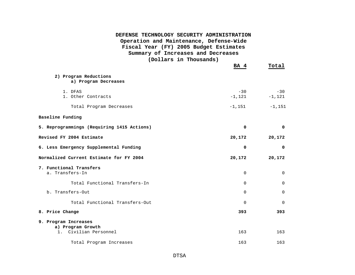| DEFENSE TECHNOLOGY SECURITY ADMINISTRATION<br>Operation and Maintenance, Defense-Wide<br>Fiscal Year (FY) 2005 Budget Estimates<br>Summary of Increases and Decreases<br>(Dollars in Thousands) |                   |                   |
|-------------------------------------------------------------------------------------------------------------------------------------------------------------------------------------------------|-------------------|-------------------|
|                                                                                                                                                                                                 | BA 4              | Total             |
| 2) Program Reductions<br>a) Program Decreases                                                                                                                                                   |                   |                   |
| 1. DFAS<br>1. Other Contracts                                                                                                                                                                   | $-30$<br>$-1,121$ | $-30$<br>$-1,121$ |
| Total Program Decreases                                                                                                                                                                         | $-1,151$          | $-1,151$          |
| Baseline Funding                                                                                                                                                                                |                   |                   |
| 5. Reprogrammings (Requiring 1415 Actions)                                                                                                                                                      | 0                 | $\mathbf 0$       |
| Revised FY 2004 Estimate                                                                                                                                                                        | 20,172            | 20,172            |
| 6. Less Emergency Supplemental Funding                                                                                                                                                          | 0                 | 0                 |
| Normalized Current Estimate for FY 2004                                                                                                                                                         | 20,172            | 20,172            |
| 7. Functional Transfers<br>a. Transfers-In                                                                                                                                                      | $\Omega$          | $\Omega$          |
| Total Functional Transfers-In                                                                                                                                                                   | $\Omega$          | $\Omega$          |
| b. Transfers-Out                                                                                                                                                                                | 0                 | $\Omega$          |
| Total Functional Transfers-Out                                                                                                                                                                  | $\mathbf 0$       | $\Omega$          |
| 8. Price Change                                                                                                                                                                                 | 393               | 393               |
| 9. Program Increases                                                                                                                                                                            |                   |                   |
| a) Program Growth<br>Civilian Personnel<br>1.                                                                                                                                                   | 163               | 163               |
| Total Program Increases                                                                                                                                                                         | 163               | 163               |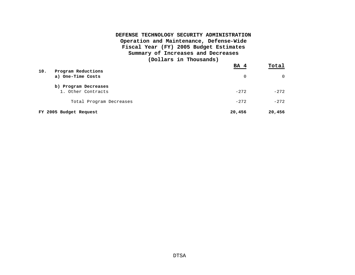# **DEFENSE TECHNOLOGY SECURITY ADMINISTRATION Operation and Maintenance, Defense-Wide Fiscal Year (FY) 2005 Budget Estimates Summary of Increases and Decreases (Dollars in Thousands)**

| 10.<br>Program Reductions                  | BA 4   | Total  |
|--------------------------------------------|--------|--------|
| a) One-Time Costs                          | 0      | 0      |
| b) Program Decreases<br>1. Other Contracts | $-272$ | $-272$ |
| Total Program Decreases                    | $-272$ | $-272$ |
| FY 2005 Budget Request                     | 20,456 | 20,456 |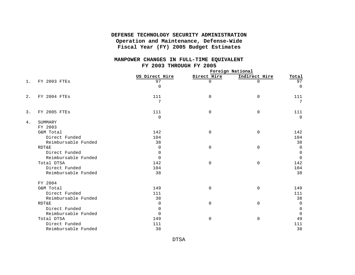#### **MANPOWER CHANGES IN FULL-TIME EQUIVALENT FY 2003 THROUGH FY 2005**

|       |                     | Foreign National |             |               |             |
|-------|---------------------|------------------|-------------|---------------|-------------|
|       |                     | US Direct Hire   | Direct Hire | Indirect Hire | Total       |
| $1$ . | FY 2003 FTES        | 97               | $\Omega$    | $\Omega$      | 97          |
|       |                     | $\Omega$         |             |               | $\Omega$    |
| 2.    | FY 2004 FTES        | 111              | $\mathbf 0$ | 0             | 111         |
|       |                     | 7                |             |               | 7           |
| 3.    | FY 2005 FTES        | 111              | 0           | $\mathbf 0$   | 111         |
|       |                     | $\Omega$         |             |               | $\Omega$    |
| 4.    | SUMMARY             |                  |             |               |             |
|       | FY 2003             |                  |             |               |             |
|       | O&M Total           | 142              | $\mathbf 0$ | $\mathbf 0$   | 142         |
|       | Direct Funded       | 104              |             |               | 104         |
|       | Reimbursable Funded | 38               |             |               | 38          |
|       | <b>RDT&amp;E</b>    | $\Omega$         | $\Omega$    | $\Omega$      | $\Omega$    |
|       | Direct Funded       | $\mathbf 0$      |             |               | $\mathbf 0$ |
|       | Reimbursable Funded | $\Omega$         |             |               | $\Omega$    |
|       | Total DTSA          | 142              | $\Omega$    | $\mathbf 0$   | 142         |
|       | Direct Funded       | 104              |             |               | 104         |
|       | Reimbursable Funded | 38               |             |               | 38          |
|       | FY 2004             |                  |             |               |             |
|       | O&M Total           | 149              | $\Omega$    | $\mathbf 0$   | 149         |
|       | Direct Funded       | 111              |             |               | 111         |
|       | Reimbursable Funded | 38               |             |               | 38          |
|       | <b>RDT&amp;E</b>    | $\Omega$         | $\mathbf 0$ | $\Omega$      | $\Omega$    |
|       | Direct Funded       | $\Omega$         |             |               | 0           |
|       | Reimbursable Funded | $\Omega$         |             |               | $\Omega$    |
|       | Total DTSA          | 149              | $\mathbf 0$ | $\mathbf 0$   | 49          |
|       | Direct Funded       | 111              |             |               | 111         |
|       | Reimbursable Funded | 38               |             |               | 38          |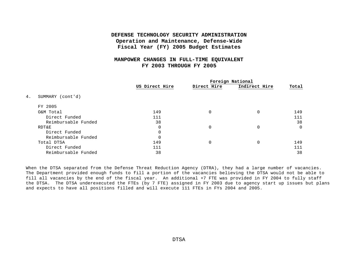#### **MANPOWER CHANGES IN FULL-TIME EQUIVALENT FY 2003 THROUGH FY 2005**

|                        | US Direct Hire | Direct Hire | Foreign National<br>Indirect Hire | Total |
|------------------------|----------------|-------------|-----------------------------------|-------|
| 4.<br>SUMMARY (cont'd) |                |             |                                   |       |
| FY 2005                |                |             |                                   |       |
| O&M Total              | 149            | $\Omega$    | $\mathbf 0$                       | 149   |
| Direct Funded          | 111            |             |                                   | 111   |
| Reimbursable Funded    | 38             |             |                                   | 38    |
| RDT&E                  | $\Omega$       | $\Omega$    | 0                                 | 0     |
| Direct Funded          | $\Omega$       |             |                                   |       |
| Reimbursable Funded    | $\Omega$       |             |                                   |       |
| Total DTSA             | 149            | $\Omega$    | $\mathbf 0$                       | 149   |
| Direct Funded          | 111            |             |                                   | 111   |
| Reimbursable Funded    | 38             |             |                                   | 38    |

When the DTSA separated from the Defense Threat Reduction Agency (DTRA), they had a large number of vacancies. The Department provided enough funds to fill a portion of the vacancies believing the DTSA would not be able to fill all vacancies by the end of the fiscal year. An additional +7 FTE was provided in FY 2004 to fully staff the DTSA. The DTSA underexecuted the FTEs (by 7 FTE) assigned in FY 2003 due to agency start up issues but plans and expects to have all positions filled and will execute 111 FTEs in FYs 2004 and 2005.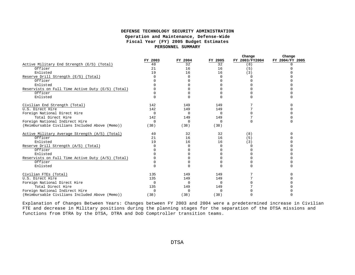|                                                   | FY 2003  | FY 2004  | FY 2005      | Change<br>FY 2003/FY2004 | Change<br>FY 2004/FY 2005 |
|---------------------------------------------------|----------|----------|--------------|--------------------------|---------------------------|
| Active Military End Strength (E/S) (Total)        | 40       | 32       | 32           | (8)                      | $\Omega$                  |
| Officer                                           | 21       | 16       | 16           | (5)                      | $\Omega$                  |
| Enlisted                                          | 19       | 16       | 16           | (3)                      |                           |
| Reserve Drill Strength (E/S) (Total)              |          | $\Omega$ | $\Omega$     | C                        |                           |
| Officer                                           |          | $\Omega$ | O            |                          |                           |
| Enlisted                                          |          | ∩        | $\Omega$     |                          |                           |
| Reservists on Full Time Active Duty (E/S) (Total) |          |          | U            |                          |                           |
| Officer                                           |          |          | U            |                          |                           |
| Enlisted                                          |          |          | $\Omega$     |                          |                           |
| Civilian End Strength (Total)                     | 142      | 149      | 149          |                          |                           |
| U.S. Direct Hire                                  | 142      | 149      | 149          |                          |                           |
| Foreign National Direct Hire                      | $\Omega$ | $\Omega$ | $\Omega$     |                          |                           |
| Total Direct Hire                                 | 142      | 149      | 149          |                          |                           |
| Foreign National Indirect Hire                    | $\Omega$ | $\Omega$ | $\Omega$     | $\Omega$                 | $\cap$                    |
| (Reimbursable Civilians Included Above (Memo))    | (38)     | (38)     | (38)         |                          |                           |
| Active Military Average Strength (A/S) (Total)    | 40       | 32       | 32           | (8)                      |                           |
| Officer                                           | 21       | 16       | 16           | (5)                      |                           |
| Enlisted                                          | 19       | 16       | 16           | (3)                      |                           |
| Reserve Drill Strength (A/S) (Total)              |          | $\Omega$ | $\Omega$     | $\Omega$                 |                           |
| Officer                                           |          | U        | <sup>0</sup> |                          |                           |
| Enlisted                                          |          |          | U            |                          |                           |
| Reservists on Full Time Active Duty (A/S) (Total) |          |          | U            |                          |                           |
| Officer                                           |          |          | $\Omega$     |                          |                           |
| Enlisted                                          |          |          | $\Omega$     |                          |                           |
| Civilian FTEs (Total)                             | 135      | 149      | 149          |                          |                           |
| U.S. Direct Hire                                  | 135      | 149      | 149          |                          |                           |
| Foreign National Direct Hire                      | $\Omega$ | $\Omega$ | $\Omega$     |                          |                           |
| Total Direct Hire                                 | 135      | 149      | 149          |                          |                           |
| Foreign National Indirect Hire                    | $\Omega$ | $\Omega$ | $\Omega$     |                          |                           |
| (Reimbursable Civilians Included Above (Memo))    | (38)     | (38)     | (38)         |                          |                           |

Explanation of Changes Between Years: Changes between FY 2003 and 2004 were a predetermined increase in Civilian FTE and decrease in Military positions during the planning stages for the separation of the DTSA missions and functions from DTRA by the DTSA, DTRA and DoD Comptroller transition teams.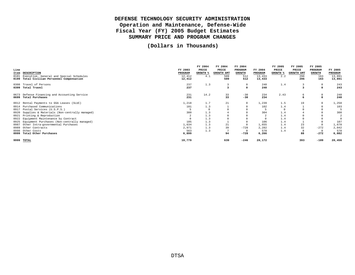# **DEFENSE TECHNOLOGY SECURITY ADMINISTRATION Operation and Maintenance, Defense-Wide Fiscal Year (FY) 2005 Budget Estimates SUMMARY PRICE AND PROGRAM CHANGES**

**(Dollars in Thousands)**

|      |                                                  |         | FY 2004         | FY 2004    | FY 2004       |         | FY 2005         | FY 2005    | FY 2005       |                         |
|------|--------------------------------------------------|---------|-----------------|------------|---------------|---------|-----------------|------------|---------------|-------------------------|
| Line |                                                  | FY 2003 | PRICE           | PRICE      | PROGRAM       | FY 2004 | PRICE           | PRICE      | PROGRAM       | FY 2005                 |
| Item | <b>DESCRIPTION</b>                               | PROGRAM | <b>GROWTH %</b> | GROWTH AMT | <b>GROWTH</b> | PROGRAM | <b>GROWTH %</b> | GROWTH AMT | <b>GROWTH</b> | PROGRAM                 |
| 0101 | Executive, General and Special Schedules         | 12,412  | 4.1             | 509        | 512           | 13,433  | 2.2             | 296        | 163           | 13,891                  |
| 0199 | Total Civilian Personnel Compensation            | 12,412  |                 | 509        | 512           | 13,433  |                 | 296        | 163           | 13,891                  |
|      | 0308 Travel of Persons                           | 237     | 1.3             |            | $\Omega$      | 240     | 1.4             |            | $\mathbf 0$   | 243                     |
|      | 0399 Total Travel                                | 237     |                 |            | $\Omega$      | 240     |                 | 3          | 0             | 243                     |
|      | 0673 Defense Financing and Accounting Service    | 231     | 14.2            | 33         | $-30$         | 234     | 2.43            | 6          | 0             | 240                     |
|      | 0699 Total Purchases                             | 231     |                 | 33         | $-30$         | 234     |                 |            | $\mathbf 0$   | 240                     |
|      | 0912 Rental Payments to GSA Leases (SLUC)        | 1,218   | 1.7             | 21         | $\Omega$      | 1,239   | 1.5             | 19         | $^{\circ}$    | 1,258                   |
|      | 0914 Purchased Communications                    | 101     | 1.3             |            | $\Omega$      | 102     | 1.4             |            | $\mathbf 0$   | 103                     |
|      | 0917 Postal Services (U.S.P.S.)                  |         | $\overline{0}$  |            |               |         |                 |            |               | 5                       |
| 0920 | Supplies & Materials (Non-centrally managed)     | 300     | 1.3             |            |               | 304     | 1.4             |            |               | 308                     |
|      | 0921 Printing & Reproduction                     |         | 1.3             |            |               |         | 1.4             |            |               | $\overline{\mathbf{2}}$ |
|      | 0922 Equipment Maintenance by Contract           |         | 1.3             |            |               |         | 1.4             |            |               | $\circ$                 |
|      | 0925 Equipment Purchases (Non-centrally managed) | 105     | 1.3             |            |               | 106     | 1.4             |            |               | 107                     |
| 0987 | Other Intra-governmental Purchases               | 1,634   | 1.3             | 21         | $\Omega$      | 1,655   | 1.4             | 23         | $\mathbf 0$   | 1,678                   |
| 0989 | Other Contracts                                  | 2,971   | 1.3             | 39         | $-728$        | 2,282   | 1.4             | 32         | $-272$        | 2,042                   |
| 0998 | Other Costs                                      | 563     | 1.3             |            | $^{\circ}$    | 570     | 1.4             | 8          | $^{\circ}$    | 578                     |
|      | 0999 Total Other Purchases                       | 6,899   |                 | 94         | $-728$        | 6,266   |                 | 88         | $-272$        | 6,082                   |
| 9999 | TOTAL                                            | 19,779  |                 | 639        | $-246$        | 20,172  |                 | 393        | $-109$        | 20,456                  |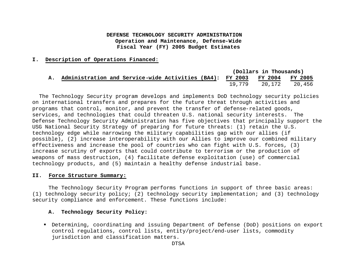#### **I. Description of Operations Financed**:

|    |                                                                           |  |  | (Dollars in Thousands) |  |
|----|---------------------------------------------------------------------------|--|--|------------------------|--|
| А. | Administration and Service-wide Activities (BA4): FY 2003 FY 2004 FY 2005 |  |  |                        |  |
|    |                                                                           |  |  |                        |  |

 The Technology Security program develops and implements DoD technology security policies on international transfers and prepares for the future threat through activities and programs that control, monitor, and prevent the transfer of defense-related goods, services, and technologies that could threaten U.S. national security interests. The Defense Technology Security Administration has five objectives that principally support the USG National Security Strategy of preparing for future threats: (1) retain the U.S. technology edge while narrowing the military capabilities gap with our allies (if possible), (2) increase interoperability with our Allies to improve our combined military effectiveness and increase the pool of countries who can fight with U.S. forces, (3) increase scrutiny of exports that could contribute to terrorism or the production of weapons of mass destruction, (4) facilitate defense exploitation (use) of commercial technology products, and (5) maintain a healthy defense industrial base.

#### **II. Force Structure Summary:**

The Technology Security Program performs functions in support of three basic areas: (1) technology security policy; (2) technology security implementation; and (3) technology security compliance and enforcement. These functions include:

#### **A. Technology Security Policy:**

ß Determining, coordinating and issuing Department of Defense (DoD) positions on export control regulations, control lists, entity/project/end-user lists, commodity jurisdiction and classification matters.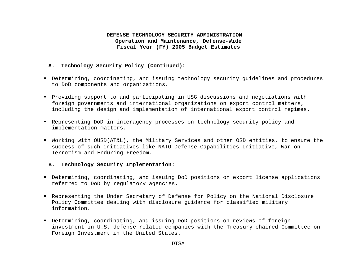#### **A. Technology Security Policy (Continued):**

- ß Determining, coordinating, and issuing technology security guidelines and procedures to DoD components and organizations.
- ß Providing support to and participating in USG discussions and negotiations with foreign governments and international organizations on export control matters, including the design and implementation of international export control regimes.
- ß Representing DoD in interagency processes on technology security policy and implementation matters.
- ß Working with OUSD(AT&L), the Military Services and other OSD entities, to ensure the success of such initiatives like NATO Defense Capabilities Initiative, War on Terrorism and Enduring Freedom.

#### **B. Technology Security Implementation:**

- ß Determining, coordinating, and issuing DoD positions on export license applications referred to DoD by regulatory agencies.
- ß Representing the Under Secretary of Defense for Policy on the National Disclosure Policy Committee dealing with disclosure guidance for classified military information.
- ß Determining, coordinating, and issuing DoD positions on reviews of foreign investment in U.S. defense-related companies with the Treasury-chaired Committee on Foreign Investment in the United States.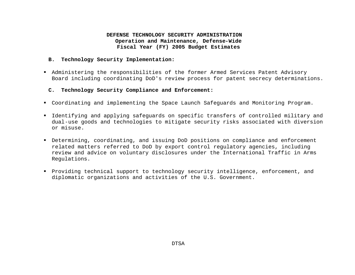#### **B. Technology Security Implementation:**

- ß Administering the responsibilities of the former Armed Services Patent Advisory Board including coordinating DoD's review process for patent secrecy determinations.
	- **C. Technology Security Compliance and Enforcement:**
- ß Coordinating and implementing the Space Launch Safeguards and Monitoring Program.
- ß Identifying and applying safeguards on specific transfers of controlled military and dual-use goods and technologies to mitigate security risks associated with diversion or misuse.
- ß Determining, coordinating, and issuing DoD positions on compliance and enforcement related matters referred to DoD by export control regulatory agencies, including review and advice on voluntary disclosures under the International Traffic in Arms Regulations.
- ß Providing technical support to technology security intelligence, enforcement, and diplomatic organizations and activities of the U.S. Government.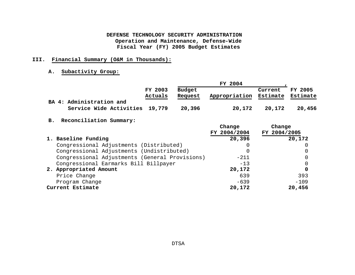# **III. Financial Summary (O&M in Thousands):**

#### **A. Subactivity Group:**

|                                |                    |                          | FY 2004       |                     |                     |
|--------------------------------|--------------------|--------------------------|---------------|---------------------|---------------------|
|                                | FY 2003<br>Actuals | <b>Budget</b><br>Request | Appropriation | Current<br>Estimate | FY 2005<br>Estimate |
| BA 4: Administration and       |                    |                          |               |                     |                     |
| Service Wide Activities 19,779 |                    | 20,396                   | 20,172        | 20,172              | 20,456              |

# **B. Reconciliation Summary:**

|                                                | Change       | Change       |
|------------------------------------------------|--------------|--------------|
|                                                | FY 2004/2004 | FY 2004/2005 |
| 1. Baseline Funding                            | 20,396       | 20,172       |
| Congressional Adjustments (Distributed)        |              |              |
| Congressional Adjustments (Undistributed)      |              | 0            |
| Congressional Adjustments (General Provisions) | $-211$       | 0            |
| Congressional Earmarks Bill Billpayer          | $-13$        | 0            |
| 2. Appropriated Amount                         | 20,172       | 0            |
| Price Change                                   | 639          | 393          |
| Program Change                                 | $-639$       | $-109$       |
| Current Estimate                               | 20,172       | 20,456       |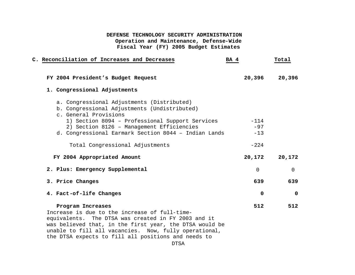| C. Reconciliation of Increases and Decreases<br>BA 4                                                                                                                                                                                                                            |             | Total       |
|---------------------------------------------------------------------------------------------------------------------------------------------------------------------------------------------------------------------------------------------------------------------------------|-------------|-------------|
| FY 2004 President's Budget Request                                                                                                                                                                                                                                              | 20,396      | 20,396      |
| 1. Congressional Adjustments                                                                                                                                                                                                                                                    |             |             |
| a. Congressional Adjustments (Distributed)<br>b. Congressional Adjustments (Undistributed)<br>c. General Provisions                                                                                                                                                             |             |             |
| 1) Section 8094 - Professional Support Services                                                                                                                                                                                                                                 | $-114$      |             |
| 2) Section 8126 - Management Efficiencies                                                                                                                                                                                                                                       | $-97$       |             |
| d. Congressional Earmark Section 8044 - Indian Lands                                                                                                                                                                                                                            | $-13$       |             |
| Total Congressional Adjustments                                                                                                                                                                                                                                                 | $-224$      |             |
| FY 2004 Appropriated Amount                                                                                                                                                                                                                                                     | 20,172      | 20,172      |
| 2. Plus: Emergency Supplemental                                                                                                                                                                                                                                                 | $\Omega$    | 0           |
| 3. Price Changes                                                                                                                                                                                                                                                                | 639         | 639         |
| 4. Fact-of-life Changes                                                                                                                                                                                                                                                         | $\mathbf 0$ | $\mathbf 0$ |
| Program Increases                                                                                                                                                                                                                                                               | 512         | 512         |
| Increase is due to the increase of full-time-<br>equivalents. The DTSA was created in FY 2003 and it<br>was believed that, in the first year, the DTSA would be<br>unable to fill all vacancies. Now, fully operational,<br>the DTSA expects to fill all positions and needs to |             |             |

DTSA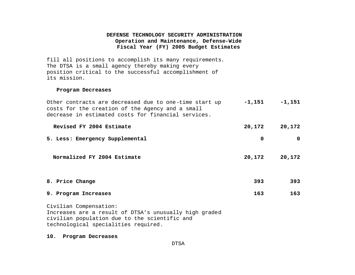fill all positions to accomplish its many requirements. The DTSA is a small agency thereby making every position critical to the successful accomplishment of its mission.

#### **Program Decreases**

| Other contracts are decreased due to one-time start up<br>costs for the creation of the Agency and a small<br>decrease in estimated costs for financial services. | $-1,151$ | $-1,151$ |
|-------------------------------------------------------------------------------------------------------------------------------------------------------------------|----------|----------|
| Revised FY 2004 Estimate                                                                                                                                          | 20,172   | 20,172   |
| 5. Less: Emergency Supplemental                                                                                                                                   | 0        |          |
| Normalized FY 2004 Estimate                                                                                                                                       | 20,172   | 20,172   |

**8. Price Change 393 393**

#### **9. Program Increases 163 163**

Civilian Compensation: Increases are a result of DTSA's unusually high graded civilian population due to the scientific and technological specialities required.

**10. Program Decreases**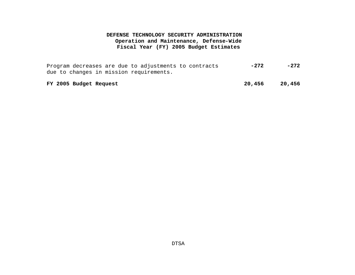Program decreases are due to adjustments to contracts due to changes in mission requirements. **-272 -272**

**FY 2005 Budget Request 20,456 20,456**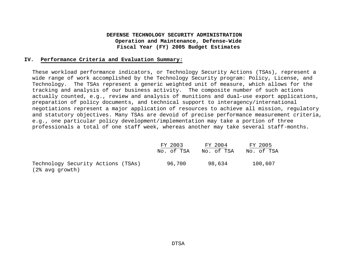#### **IV. Performance Criteria and Evaluation Summary:**

These workload performance indicators, or Technology Security Actions (TSAs), represent a wide range of work accomplished by the Technology Security program: Policy, License, and Technology. The TSAs represent a generic weighted unit of measure, which allows for the tracking and analysis of our business activity. The composite number of such actions actually counted, e.g., review and analysis of munitions and dual-use export applications, preparation of policy documents, and technical support to interagency/international negotiations represent a major application of resources to achieve all mission, regulatory and statutory objectives. Many TSAs are devoid of precise performance measurement criteria, e.g., one particular policy development/implementation may take a portion of three professionals a total of one staff week, whereas another may take several staff-months.

|                                    | FY 2003    | FY 2004    | FY 2005    |
|------------------------------------|------------|------------|------------|
|                                    | No. of TSA | No. of TSA | No. of TSA |
| Technology Security Actions (TSAs) | 96,700     | 98,634     | 100,607    |
| (2% avg growth)                    |            |            |            |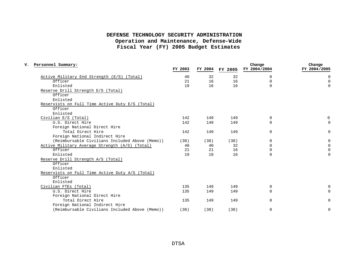| Personnel Summary:                              | FY 2003 | FY 2004 | FY 2005 | Change<br>FY 2004/2004 | Change<br>FY 2004/2005 |
|-------------------------------------------------|---------|---------|---------|------------------------|------------------------|
| Active Military End Strength (E/S) (Total)      | 40      | 32      | 32      | 0                      | $\Omega$               |
| Officer                                         | 21      | 16      | 16      | $\Omega$               | $\Omega$               |
| Enlisted                                        | 19      | 16      | 16      | $\Omega$               | $\Omega$               |
| Reserve Drill Strength E/S (Total)              |         |         |         |                        |                        |
| Officer                                         |         |         |         |                        |                        |
| Enlisted                                        |         |         |         |                        |                        |
| Reservists on Full Time Active Duty E/S (Total) |         |         |         |                        |                        |
| Officer                                         |         |         |         |                        |                        |
| Enlisted                                        |         |         |         |                        |                        |
| Civilian E/S (Total)                            | 142     | 149     | 149     | $\Omega$               | 0                      |
| U.S. Direct Hire                                | 142     | 149     | 149     | 0                      | $\mathbf 0$            |
| Foreign National Direct Hire                    |         |         |         |                        |                        |
| Total Direct Hire                               | 142     | 149     | 149     | $\mathbf 0$            | $\mathbf 0$            |
| Foreign National Indirect Hire                  |         |         |         |                        |                        |
| (Reimbursable Civilians Included Above (Memo))  | (38)    | (38)    | (38)    | $\mathbf 0$            | $\Omega$               |
| Active Military Average Strength (A/S) (Total)  | 40      | 40      | 32      | $\Omega$               | $\Omega$               |
| Officer                                         | 21      | 21      | 16      | $\Omega$               | $\Omega$               |
| Enlisted                                        | 19      | 18      | 16      | $\Omega$               | $\Omega$               |
| Reserve Drill Strength A/S (Total)              |         |         |         |                        |                        |
| Officer                                         |         |         |         |                        |                        |
| Enlisted                                        |         |         |         |                        |                        |
| Reservists on Full Time Active Duty A/S (Total) |         |         |         |                        |                        |
| Officer                                         |         |         |         |                        |                        |
| Enlisted                                        |         |         |         |                        |                        |
| Civilian FTEs (Total)                           | 135     | 149     | 149     | 0                      | $\mathbf 0$            |
| U.S. Direct Hire                                | 135     | 149     | 149     | $\Omega$               | $\Omega$               |
| Foreign National Direct Hire                    |         |         |         |                        |                        |
| Total Direct Hire                               | 135     | 149     | 149     | $\mathbf 0$            | $\Omega$               |
| Foreign National Indirect Hire                  |         |         |         |                        |                        |
| (Reimbursable Civilians Included Above (Memo))  | (38)    | (38)    | (38)    | 0                      | $\mathbf 0$            |
|                                                 |         |         |         |                        |                        |